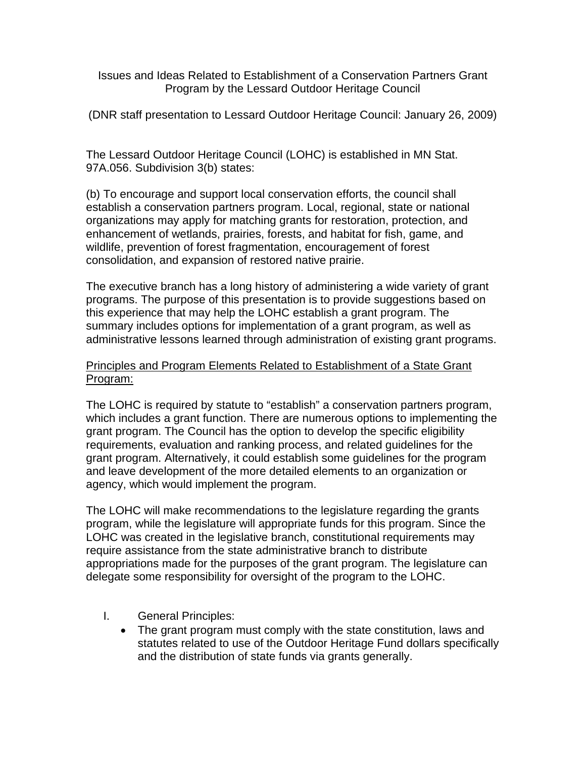Issues and Ideas Related to Establishment of a Conservation Partners Grant Program by the Lessard Outdoor Heritage Council

(DNR staff presentation to Lessard Outdoor Heritage Council: January 26, 2009)

The Lessard Outdoor Heritage Council (LOHC) is established in MN Stat. 97A.056. Subdivision 3(b) states:

(b) To encourage and support local conservation efforts, the council shall establish a conservation partners program. Local, regional, state or national organizations may apply for matching grants for restoration, protection, and enhancement of wetlands, prairies, forests, and habitat for fish, game, and wildlife, prevention of forest fragmentation, encouragement of forest consolidation, and expansion of restored native prairie.

The executive branch has a long history of administering a wide variety of grant programs. The purpose of this presentation is to provide suggestions based on this experience that may help the LOHC establish a grant program. The summary includes options for implementation of a grant program, as well as administrative lessons learned through administration of existing grant programs.

## Principles and Program Elements Related to Establishment of a State Grant Program:

The LOHC is required by statute to "establish" a conservation partners program, which includes a grant function. There are numerous options to implementing the grant program. The Council has the option to develop the specific eligibility requirements, evaluation and ranking process, and related guidelines for the grant program. Alternatively, it could establish some guidelines for the program and leave development of the more detailed elements to an organization or agency, which would implement the program.

The LOHC will make recommendations to the legislature regarding the grants program, while the legislature will appropriate funds for this program. Since the LOHC was created in the legislative branch, constitutional requirements may require assistance from the state administrative branch to distribute appropriations made for the purposes of the grant program. The legislature can delegate some responsibility for oversight of the program to the LOHC.

- I. General Principles:
	- The grant program must comply with the state constitution, laws and statutes related to use of the Outdoor Heritage Fund dollars specifically and the distribution of state funds via grants generally.